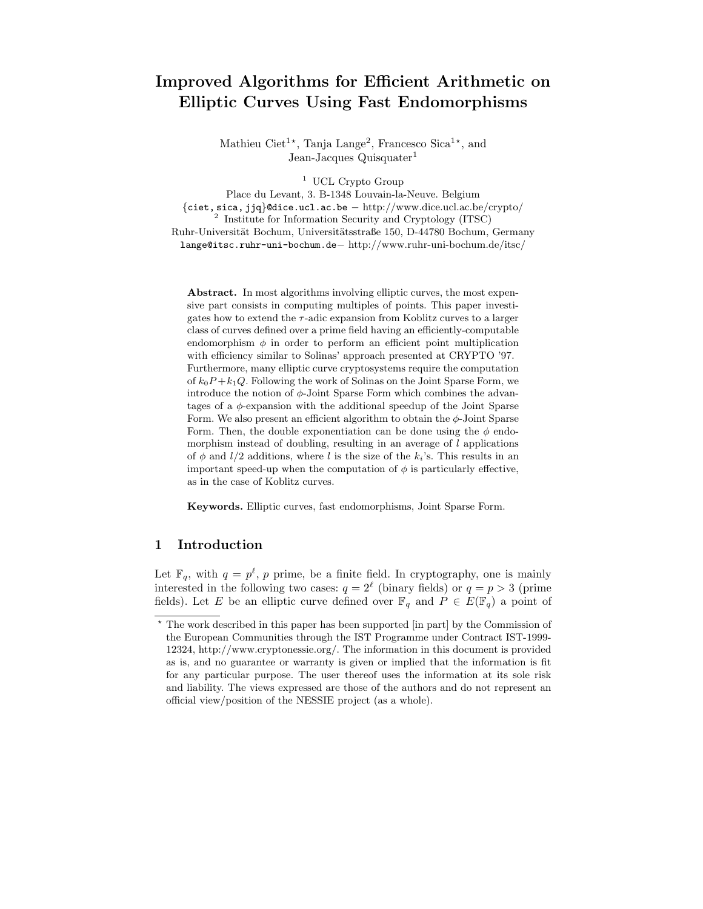# Improved Algorithms for Efficient Arithmetic on Elliptic Curves Using Fast Endomorphisms

Mathieu Ciet<sup>1\*</sup>, Tanja Lange<sup>2</sup>, Francesco Sica<sup>1\*</sup>, and Jean-Jacques Quisquater<sup>1</sup>

<sup>1</sup> UCL Crypto Group

Place du Levant, 3. B-1348 Louvain-la-Neuve. Belgium {ciet, sica, jjq}@dice.ucl.ac.be − http://www.dice.ucl.ac.be/crypto/ 2 Institute for Information Security and Cryptology (ITSC)

Ruhr-Universität Bochum, Universitätsstraße 150, D-44780 Bochum, Germany lange@itsc.ruhr-uni-bochum.de− http://www.ruhr-uni-bochum.de/itsc/

Abstract. In most algorithms involving elliptic curves, the most expensive part consists in computing multiples of points. This paper investigates how to extend the  $\tau$ -adic expansion from Koblitz curves to a larger class of curves defined over a prime field having an efficiently-computable endomorphism  $\phi$  in order to perform an efficient point multiplication with efficiency similar to Solinas' approach presented at CRYPTO '97. Furthermore, many elliptic curve cryptosystems require the computation of  $k_0P+k_1Q$ . Following the work of Solinas on the Joint Sparse Form, we introduce the notion of  $\phi$ -Joint Sparse Form which combines the advantages of a  $\phi$ -expansion with the additional speedup of the Joint Sparse Form. We also present an efficient algorithm to obtain the  $\phi$ -Joint Sparse Form. Then, the double exponentiation can be done using the  $\phi$  endomorphism instead of doubling, resulting in an average of  $l$  applications of  $\phi$  and  $l/2$  additions, where l is the size of the  $k_i$ 's. This results in an important speed-up when the computation of  $\phi$  is particularly effective, as in the case of Koblitz curves.

Keywords. Elliptic curves, fast endomorphisms, Joint Sparse Form.

## 1 Introduction

Let  $\mathbb{F}_q$ , with  $q = p^{\ell}, p$  prime, be a finite field. In cryptography, one is mainly interested in the following two cases:  $q = 2^{\ell}$  (binary fields) or  $q = p > 3$  (prime fields). Let E be an elliptic curve defined over  $\mathbb{F}_q$  and  $P \in E(\mathbb{F}_q)$  a point of

 $^\star$  The work described in this paper has been supported [in part] by the Commission of the European Communities through the IST Programme under Contract IST-1999- 12324, http://www.cryptonessie.org/. The information in this document is provided as is, and no guarantee or warranty is given or implied that the information is fit for any particular purpose. The user thereof uses the information at its sole risk and liability. The views expressed are those of the authors and do not represent an official view/position of the NESSIE project (as a whole).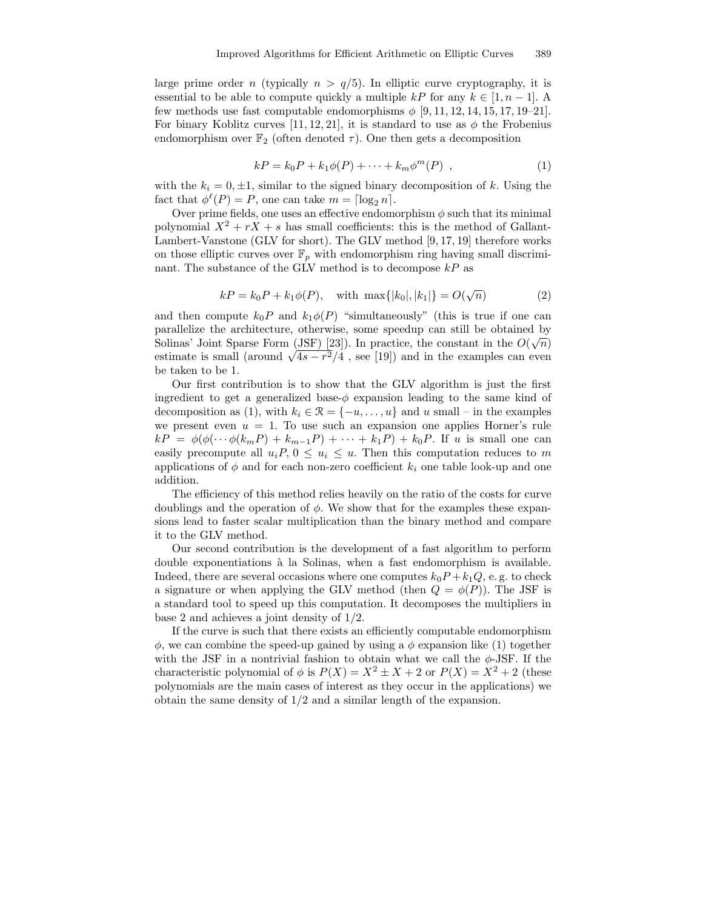large prime order n (typically  $n > q/5$ ). In elliptic curve cryptography, it is essential to be able to compute quickly a multiple kP for any  $k \in [1, n-1]$ . A few methods use fast computable endomorphisms  $\phi$  [9, 11, 12, 14, 15, 17, 19–21]. For binary Koblitz curves [11, 12, 21], it is standard to use as  $\phi$  the Frobenius endomorphism over  $\mathbb{F}_2$  (often denoted  $\tau$ ). One then gets a decomposition

$$
kP = k_0 P + k_1 \phi(P) + \dots + k_m \phi^m(P) , \qquad (1)
$$

with the  $k_i = 0, \pm 1$ , similar to the signed binary decomposition of k. Using the fact that  $\phi^{\ell}(P) = P$ , one can take  $m = \lceil \log_2 n \rceil$ .

Over prime fields, one uses an effective endomorphism  $\phi$  such that its minimal polynomial  $X^2 + rX + s$  has small coefficients: this is the method of Gallant-Lambert-Vanstone (GLV for short). The GLV method [9, 17, 19] therefore works on those elliptic curves over  $\mathbb{F}_p$  with endomorphism ring having small discriminant. The substance of the GLV method is to decompose  $kP$  as

$$
kP = k_0P + k_1\phi(P)
$$
, with max $\{|k_0|, |k_1|\} = O(\sqrt{n})$  (2)

and then compute  $k_0P$  and  $k_1\phi(P)$  "simultaneously" (this is true if one can parallelize the architecture, otherwise, some speedup can still be obtained by Solinas' Joint Sparse Form (JSF) [23]). In practice, the constant in the  $O(\sqrt{n})$ estimate is small (around  $\sqrt{4s-r^2/4}$ , see [19]) and in the examples can even be taken to be 1.

Our first contribution is to show that the GLV algorithm is just the first ingredient to get a generalized base- $\phi$  expansion leading to the same kind of decomposition as (1), with  $k_i \in \mathcal{R} = \{-u, \ldots, u\}$  and u small – in the examples we present even  $u = 1$ . To use such an expansion one applies Horner's rule  $kP = \phi(\phi(\cdots \phi(k_m P) + k_{m-1}P) + \cdots + k_1P) + k_0P$ . If u is small one can easily precompute all  $u_iP, 0 \leq u_i \leq u$ . Then this computation reduces to m applications of  $\phi$  and for each non-zero coefficient  $k_i$  one table look-up and one addition.

The efficiency of this method relies heavily on the ratio of the costs for curve doublings and the operation of  $\phi$ . We show that for the examples these expansions lead to faster scalar multiplication than the binary method and compare it to the GLV method.

Our second contribution is the development of a fast algorithm to perform double exponentiations `a la Solinas, when a fast endomorphism is available. Indeed, there are several occasions where one computes  $k_0P + k_1Q$ , e.g. to check a signature or when applying the GLV method (then  $Q = \phi(P)$ ). The JSF is a standard tool to speed up this computation. It decomposes the multipliers in base 2 and achieves a joint density of 1/2.

If the curve is such that there exists an efficiently computable endomorphism  $\phi$ , we can combine the speed-up gained by using a  $\phi$  expansion like (1) together with the JSF in a nontrivial fashion to obtain what we call the  $\phi$ -JSF. If the characteristic polynomial of  $\phi$  is  $P(X) = X^2 \pm X + 2$  or  $P(X) = X^2 + 2$  (these polynomials are the main cases of interest as they occur in the applications) we obtain the same density of 1/2 and a similar length of the expansion.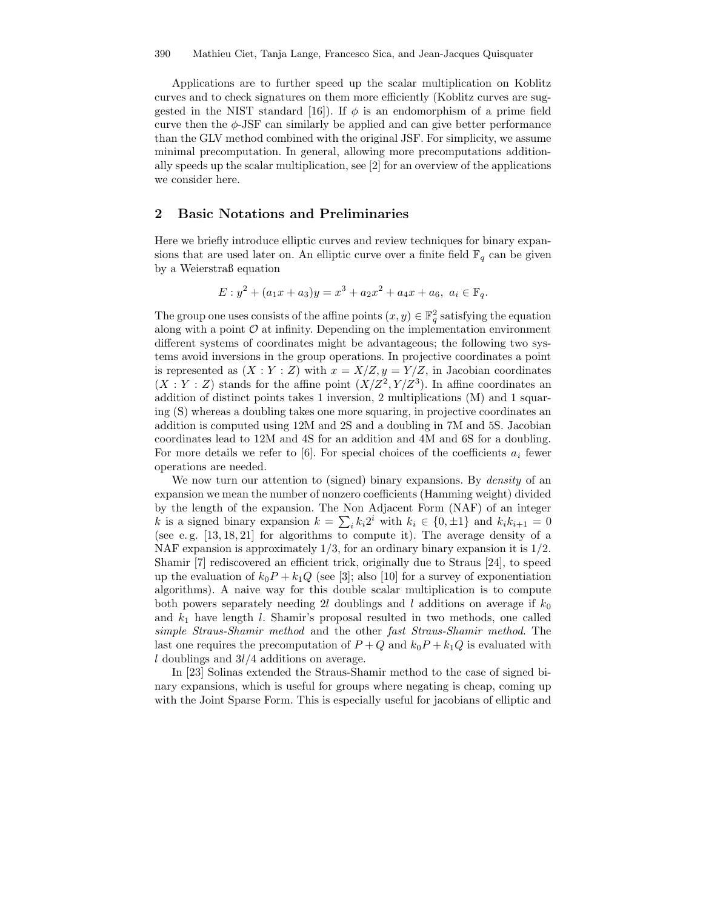Applications are to further speed up the scalar multiplication on Koblitz curves and to check signatures on them more efficiently (Koblitz curves are suggested in the NIST standard [16]). If  $\phi$  is an endomorphism of a prime field curve then the  $\phi$ -JSF can similarly be applied and can give better performance than the GLV method combined with the original JSF. For simplicity, we assume minimal precomputation. In general, allowing more precomputations additionally speeds up the scalar multiplication, see [2] for an overview of the applications we consider here.

## 2 Basic Notations and Preliminaries

Here we briefly introduce elliptic curves and review techniques for binary expansions that are used later on. An elliptic curve over a finite field  $\mathbb{F}_q$  can be given by a Weierstraß equation

$$
E: y^2 + (a_1x + a_3)y = x^3 + a_2x^2 + a_4x + a_6, \ a_i \in \mathbb{F}_q.
$$

The group one uses consists of the affine points  $(x, y) \in \mathbb{F}_q^2$  satisfying the equation along with a point  $\mathcal O$  at infinity. Depending on the implementation environment different systems of coordinates might be advantageous; the following two systems avoid inversions in the group operations. In projective coordinates a point is represented as  $(X : Y : Z)$  with  $x = X/Z$ ,  $y = Y/Z$ , in Jacobian coordinates  $(X:Y:Z)$  stands for the affine point  $(X/Z<sup>2</sup>, Y/Z<sup>3</sup>)$ . In affine coordinates an addition of distinct points takes 1 inversion, 2 multiplications (M) and 1 squaring (S) whereas a doubling takes one more squaring, in projective coordinates an addition is computed using 12M and 2S and a doubling in 7M and 5S. Jacobian coordinates lead to 12M and 4S for an addition and 4M and 6S for a doubling. For more details we refer to [6]. For special choices of the coefficients  $a_i$  fewer operations are needed.

We now turn our attention to (signed) binary expansions. By *density* of an expansion we mean the number of nonzero coefficients (Hamming weight) divided by the length of the expansion. The Non Adjacent Form (NAF) of an integer k is a signed binary expansion  $k = \sum_i k_i 2^i$  with  $k_i \in \{0, \pm 1\}$  and  $k_i k_{i+1} = 0$ (see e. g. [13, 18, 21] for algorithms to compute it). The average density of a NAF expansion is approximately  $1/3$ , for an ordinary binary expansion it is  $1/2$ . Shamir [7] rediscovered an efficient trick, originally due to Straus [24], to speed up the evaluation of  $k_0P + k_1Q$  (see [3]; also [10] for a survey of exponentiation algorithms). A naive way for this double scalar multiplication is to compute both powers separately needing 2l doublings and l additions on average if  $k_0$ and  $k_1$  have length l. Shamir's proposal resulted in two methods, one called simple Straus-Shamir method and the other fast Straus-Shamir method. The last one requires the precomputation of  $P+Q$  and  $k_0P+k_1Q$  is evaluated with l doublings and  $3l/4$  additions on average.

In [23] Solinas extended the Straus-Shamir method to the case of signed binary expansions, which is useful for groups where negating is cheap, coming up with the Joint Sparse Form. This is especially useful for jacobians of elliptic and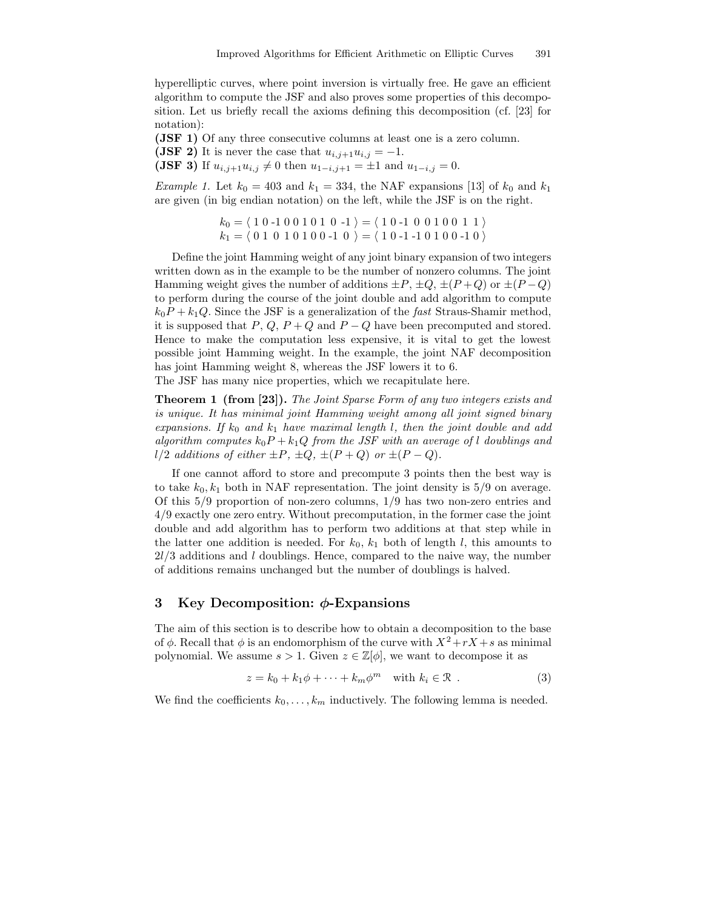hyperelliptic curves, where point inversion is virtually free. He gave an efficient algorithm to compute the JSF and also proves some properties of this decomposition. Let us briefly recall the axioms defining this decomposition (cf. [23] for notation):

(JSF 1) Of any three consecutive columns at least one is a zero column. (JSF 2) It is never the case that  $u_{i,j+1}u_{i,j} = -1$ .

(JSF 3) If  $u_{i,j+1}u_{i,j} \neq 0$  then  $u_{1-i,j+1} = \pm 1$  and  $u_{1-i,j} = 0$ .

*Example 1.* Let  $k_0 = 403$  and  $k_1 = 334$ , the NAF expansions [13] of  $k_0$  and  $k_1$ are given (in big endian notation) on the left, while the JSF is on the right.

> $k_0 = \langle 1 \ 0 \ -1 \ 0 \ 0 \ 1 \ 0 \ 1 \ 0 \ -1 \rangle = \langle 1 \ 0 \ -1 \ 0 \ 0 \ 1 \ 0 \ 0 \ 1 \ 1 \rangle$  $k_1 = \langle 0 1 0 1 0 1 0 0 -1 0 \rangle = \langle 1 0 -1 -1 0 1 0 0 -1 0 \rangle$

Define the joint Hamming weight of any joint binary expansion of two integers written down as in the example to be the number of nonzero columns. The joint Hamming weight gives the number of additions  $\pm P$ ,  $\pm Q$ ,  $\pm (P+Q)$  or  $\pm (P-Q)$ to perform during the course of the joint double and add algorithm to compute  $k_0P + k_1Q$ . Since the JSF is a generalization of the *fast* Straus-Shamir method, it is supposed that  $P$ ,  $Q$ ,  $P$  +  $Q$  and  $P$  –  $Q$  have been precomputed and stored. Hence to make the computation less expensive, it is vital to get the lowest possible joint Hamming weight. In the example, the joint NAF decomposition has joint Hamming weight 8, whereas the JSF lowers it to 6.

The JSF has many nice properties, which we recapitulate here.

Theorem 1 (from [23]). The Joint Sparse Form of any two integers exists and is unique. It has minimal joint Hamming weight among all joint signed binary expansions. If  $k_0$  and  $k_1$  have maximal length l, then the joint double and add algorithm computes  $k_0P + k_1Q$  from the JSF with an average of l doublings and l/2 additions of either  $\pm P$ ,  $\pm Q$ ,  $\pm (P+Q)$  or  $\pm (P-Q)$ .

If one cannot afford to store and precompute 3 points then the best way is to take  $k_0, k_1$  both in NAF representation. The joint density is 5/9 on average. Of this 5/9 proportion of non-zero columns, 1/9 has two non-zero entries and 4/9 exactly one zero entry. Without precomputation, in the former case the joint double and add algorithm has to perform two additions at that step while in the latter one addition is needed. For  $k_0$ ,  $k_1$  both of length l, this amounts to  $2l/3$  additions and l doublings. Hence, compared to the naive way, the number of additions remains unchanged but the number of doublings is halved.

# 3 Key Decomposition:  $\phi$ -Expansions

The aim of this section is to describe how to obtain a decomposition to the base of  $\phi$ . Recall that  $\phi$  is an endomorphism of the curve with  $X^2+rX+s$  as minimal polynomial. We assume  $s > 1$ . Given  $z \in \mathbb{Z}[\phi]$ , we want to decompose it as

$$
z = k_0 + k_1 \phi + \dots + k_m \phi^m \quad \text{with } k_i \in \mathcal{R} \tag{3}
$$

We find the coefficients  $k_0, \ldots, k_m$  inductively. The following lemma is needed.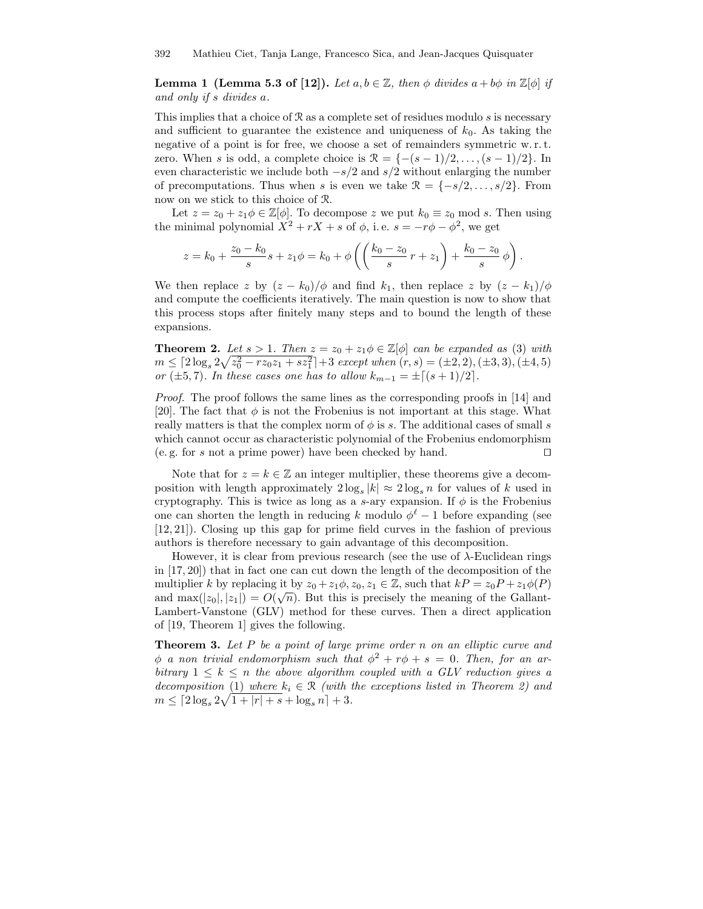**Lemma 1 (Lemma 5.3 of [12]).** Let  $a, b \in \mathbb{Z}$ , then  $\phi$  divides  $a + b\phi$  in  $\mathbb{Z}[\phi]$  if and only if s divides a.

This implies that a choice of  $\Re$  as a complete set of residues modulo s is necessary and sufficient to guarantee the existence and uniqueness of  $k_0$ . As taking the negative of a point is for free, we choose a set of remainders symmetric w.r.t. zero. When s is odd, a complete choice is  $\mathcal{R} = \{-(s-1)/2, \ldots, (s-1)/2\}$ . In even characteristic we include both  $-s/2$  and  $s/2$  without enlarging the number of precomputations. Thus when s is even we take  $\mathcal{R} = \{-s/2, \ldots, s/2\}$ . From now on we stick to this choice of R.

Let  $z = z_0 + z_1 \phi \in \mathbb{Z}[\phi]$ . To decompose z we put  $k_0 \equiv z_0 \mod s$ . Then using the minimal polynomial  $X^2 + rX + s$  of  $\phi$ , i.e.  $s = -r\phi - \phi^2$ , we get

$$
z = k_0 + \frac{z_0 - k_0}{s} s + z_1 \phi = k_0 + \phi \left( \left( \frac{k_0 - z_0}{s} r + z_1 \right) + \frac{k_0 - z_0}{s} \phi \right).
$$

We then replace z by  $(z - k_0)/\phi$  and find  $k_1$ , then replace z by  $(z - k_1)/\phi$ and compute the coefficients iteratively. The main question is now to show that this process stops after finitely many steps and to bound the length of these expansions.

**Theorem 2.** Let  $s > 1$ . Then  $z = z_0 + z_1 \phi \in \mathbb{Z}[\phi]$  can be expanded as (3) with  $m \leq \lceil 2\log_s 2\sqrt{z_0^2 - rz_0z_1 + sz_1^2} \rceil + 3 \text{ except when } (r, s) = (\pm 2, 2), (\pm 3, 3), (\pm 4, 5)$ or ( $\pm 5, 7$ ). In these cases one has to allow  $k_{m-1} = \pm \lceil (s + 1)/2 \rceil$ .

Proof. The proof follows the same lines as the corresponding proofs in [14] and [20]. The fact that  $\phi$  is not the Frobenius is not important at this stage. What really matters is that the complex norm of  $\phi$  is s. The additional cases of small s which cannot occur as characteristic polynomial of the Frobenius endomorphism (e.g. for s not a prime power) have been checked by hand.  $\square$ 

Note that for  $z = k \in \mathbb{Z}$  an integer multiplier, these theorems give a decomposition with length approximately  $2 \log_s |k| \approx 2 \log_s n$  for values of k used in cryptography. This is twice as long as a s-ary expansion. If  $\phi$  is the Frobenius one can shorten the length in reducing k modulo  $\phi^{\ell} - 1$  before expanding (see [12, 21]). Closing up this gap for prime field curves in the fashion of previous authors is therefore necessary to gain advantage of this decomposition.

However, it is clear from previous research (see the use of  $\lambda$ -Euclidean rings in [17, 20]) that in fact one can cut down the length of the decomposition of the multiplier k by replacing it by  $z_0 + z_1 \phi$ ,  $z_0, z_1 \in \mathbb{Z}$ , such that  $kP = z_0 P + z_1 \phi(P)$ and  $\max(|z_0|, |z_1|) = O(\sqrt{n})$ . But this is precisely the meaning of the Gallant-Lambert-Vanstone (GLV) method for these curves. Then a direct application of [19, Theorem 1] gives the following.

**Theorem 3.** Let P be a point of large prime order n on an elliptic curve and  $\phi$  a non trivial endomorphism such that  $\phi^2 + r\phi + s = 0$ . Then, for an arbitrary  $1 \leq k \leq n$  the above algorithm coupled with a GLV reduction gives a decomposition (1) where  $k_i \in \mathcal{R}$  (with the exceptions listed in Theorem 2) and  $m \leq \lceil 2\log_s 2\sqrt{1+|r|+s}+\log_s n\rceil + 3.$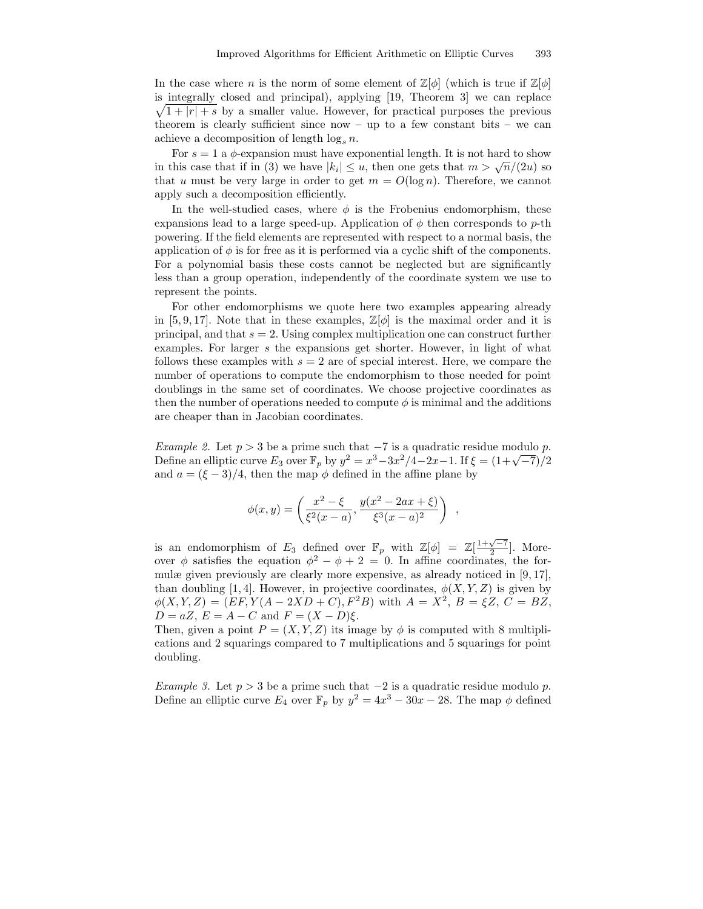In the case where n is the norm of some element of  $\mathbb{Z}[\phi]$  (which is true if  $\mathbb{Z}[\phi]$ )  $\sqrt{1+|r|+s}$  by a smaller value. However, for practical purposes the previous is integrally closed and principal), applying [19, Theorem 3] we can replace theorem is clearly sufficient since now – up to a few constant bits – we can achieve a decomposition of length  $\log_s n$ .

For  $s = 1$  a  $\phi$ -expansion must have exponential length. It is not hard to show in this case that if in (3) we have  $|k_i| \le u$ , then one gets that  $m > \sqrt{n}/(2u)$  so that u must be very large in order to get  $m = O(\log n)$ . Therefore, we cannot apply such a decomposition efficiently.

In the well-studied cases, where  $\phi$  is the Frobenius endomorphism, these expansions lead to a large speed-up. Application of  $\phi$  then corresponds to p-th powering. If the field elements are represented with respect to a normal basis, the application of  $\phi$  is for free as it is performed via a cyclic shift of the components. For a polynomial basis these costs cannot be neglected but are significantly less than a group operation, independently of the coordinate system we use to represent the points.

For other endomorphisms we quote here two examples appearing already in [5, 9, 17]. Note that in these examples,  $\mathbb{Z}[\phi]$  is the maximal order and it is principal, and that  $s = 2$ . Using complex multiplication one can construct further examples. For larger s the expansions get shorter. However, in light of what follows these examples with  $s = 2$  are of special interest. Here, we compare the number of operations to compute the endomorphism to those needed for point doublings in the same set of coordinates. We choose projective coordinates as then the number of operations needed to compute  $\phi$  is minimal and the additions are cheaper than in Jacobian coordinates.

Example 2. Let  $p > 3$  be a prime such that  $-7$  is a quadratic residue modulo p. Define an elliptic curve  $E_3$  over  $\mathbb{F}_p$  by  $y^2 = x^3 - 3x^2/4 - 2x - 1$ . If  $\xi = (1 + \sqrt{-7})/2$ and  $a = (\xi - 3)/4$ , then the map  $\phi$  defined in the affine plane by

$$
\phi(x,y) = \left(\frac{x^2 - \xi}{\xi^2(x-a)}, \frac{y(x^2 - 2ax + \xi)}{\xi^3(x-a)^2}\right) ,
$$

is an endomorphism of  $E_3$  defined over  $\mathbb{F}_p$  with  $\mathbb{Z}[\phi] = \mathbb{Z}[\frac{1+\sqrt{-7}}{2}]$ . Moreover  $\phi$  satisfies the equation  $\phi^2 - \phi + 2 = 0$ . In affine coordinates, the formulæ given previously are clearly more expensive, as already noticed in [9, 17], than doubling [1, 4]. However, in projective coordinates,  $\phi(X, Y, Z)$  is given by  $\phi(X, Y, Z) = (EF, Y(A - 2XD + C), F^2B)$  with  $A = X^2$ ,  $B = \xi Z$ ,  $C = BZ$ ,  $D = aZ, E = A - C$  and  $F = (X - D)\xi$ .

Then, given a point  $P = (X, Y, Z)$  its image by  $\phi$  is computed with 8 multiplications and 2 squarings compared to 7 multiplications and 5 squarings for point doubling.

Example 3. Let  $p > 3$  be a prime such that  $-2$  is a quadratic residue modulo p. Define an elliptic curve  $E_4$  over  $\mathbb{F}_p$  by  $y^2 = 4x^3 - 30x - 28$ . The map  $\phi$  defined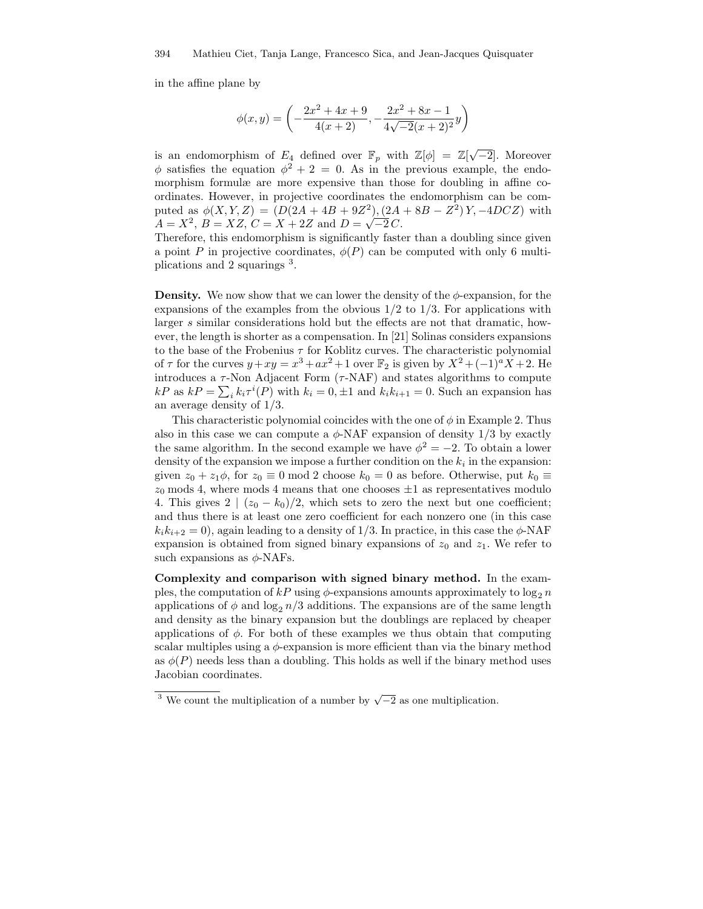in the affine plane by

$$
\phi(x,y) = \left(-\frac{2x^2 + 4x + 9}{4(x+2)}, -\frac{2x^2 + 8x - 1}{4\sqrt{-2}(x+2)^2}y\right)
$$

is an endomorphism of  $E_4$  defined over  $\mathbb{F}_p$  with  $\mathbb{Z}[\phi] = \mathbb{Z}[\sqrt{-2}]$ . Moreover  $\phi$  satisfies the equation  $\phi^2 + 2 = 0$ . As in the previous example, the endomorphism formulæ are more expensive than those for doubling in affine coordinates. However, in projective coordinates the endomorphism can be computed as  $\phi(X, Y, Z) = (D(2A + 4B + 9Z^2), (2A + 8B - Z^2)Y, -4DCZ)$  with  $A = X^2$ ,  $B = XZ$ ,  $C = X + 2Z$  and  $D = \sqrt{-2}C$ .

Therefore, this endomorphism is significantly faster than a doubling since given a point P in projective coordinates,  $\phi(P)$  can be computed with only 6 multiplications and 2 squarings <sup>3</sup>.

**Density.** We now show that we can lower the density of the  $\phi$ -expansion, for the expansions of the examples from the obvious  $1/2$  to  $1/3$ . For applications with larger s similar considerations hold but the effects are not that dramatic, however, the length is shorter as a compensation. In [21] Solinas considers expansions to the base of the Frobenius  $\tau$  for Koblitz curves. The characteristic polynomial of  $\tau$  for the curves  $y + xy = x^3 + ax^2 + 1$  over  $\mathbb{F}_2$  is given by  $X^2 + (-1)^a X + 2$ . He introduces a  $\tau$ -Non Adjacent Form  $(\tau$ -NAF) and states algorithms to compute  $kP$  as  $kP = \sum_{i} k_i \tau^{i}(P)$  with  $k_i = 0, \pm 1$  and  $k_i k_{i+1} = 0$ . Such an expansion has an average density of 1/3.

This characteristic polynomial coincides with the one of  $\phi$  in Example 2. Thus also in this case we can compute a  $\phi$ -NAF expansion of density 1/3 by exactly the same algorithm. In the second example we have  $\phi^2 = -2$ . To obtain a lower density of the expansion we impose a further condition on the  $k_i$  in the expansion: given  $z_0 + z_1 \phi$ , for  $z_0 \equiv 0 \mod 2$  choose  $k_0 = 0$  as before. Otherwise, put  $k_0 \equiv$  $z_0$  mods 4, where mods 4 means that one chooses  $\pm 1$  as representatives modulo 4. This gives  $2 \mid (z_0 - k_0)/2$ , which sets to zero the next but one coefficient; and thus there is at least one zero coefficient for each nonzero one (in this case  $k_ik_{i+2} = 0$ , again leading to a density of 1/3. In practice, in this case the  $\phi$ -NAF expansion is obtained from signed binary expansions of  $z_0$  and  $z_1$ . We refer to such expansions as  $\phi$ -NAFs.

Complexity and comparison with signed binary method. In the examples, the computation of  $kP$  using  $\phi$ -expansions amounts approximately to log<sub>2</sub> n applications of  $\phi$  and  $\log_2 n/3$  additions. The expansions are of the same length and density as the binary expansion but the doublings are replaced by cheaper applications of  $\phi$ . For both of these examples we thus obtain that computing scalar multiples using a  $\phi$ -expansion is more efficient than via the binary method as  $\phi(P)$  needs less than a doubling. This holds as well if the binary method uses Jacobian coordinates.

<sup>&</sup>lt;sup>3</sup> We count the multiplication of a number by  $\sqrt{-2}$  as one multiplication.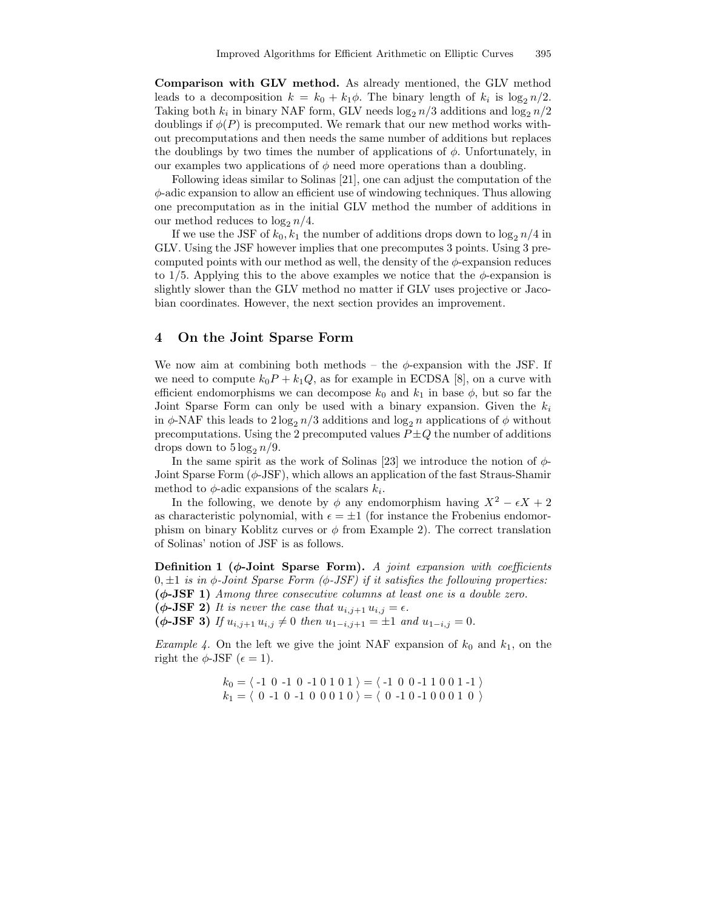Comparison with GLV method. As already mentioned, the GLV method leads to a decomposition  $k = k_0 + k_1 \phi$ . The binary length of  $k_i$  is  $\log_2 n/2$ . Taking both  $k_i$  in binary NAF form, GLV needs  $\log_2 n/3$  additions and  $\log_2 n/2$ doublings if  $\phi(P)$  is precomputed. We remark that our new method works without precomputations and then needs the same number of additions but replaces the doublings by two times the number of applications of  $\phi$ . Unfortunately, in our examples two applications of  $\phi$  need more operations than a doubling.

Following ideas similar to Solinas [21], one can adjust the computation of the  $\phi$ -adic expansion to allow an efficient use of windowing techniques. Thus allowing one precomputation as in the initial GLV method the number of additions in our method reduces to  $\log_2 n/4$ .

If we use the JSF of  $k_0, k_1$  the number of additions drops down to  $\log_2 n/4$  in GLV. Using the JSF however implies that one precomputes 3 points. Using 3 precomputed points with our method as well, the density of the  $\phi$ -expansion reduces to 1/5. Applying this to the above examples we notice that the  $\phi$ -expansion is slightly slower than the GLV method no matter if GLV uses projective or Jacobian coordinates. However, the next section provides an improvement.

#### 4 On the Joint Sparse Form

We now aim at combining both methods – the  $\phi$ -expansion with the JSF. If we need to compute  $k_0P + k_1Q$ , as for example in ECDSA [8], on a curve with efficient endomorphisms we can decompose  $k_0$  and  $k_1$  in base  $\phi$ , but so far the Joint Sparse Form can only be used with a binary expansion. Given the  $k_i$ in  $\phi$ -NAF this leads to  $2\log_2 n/3$  additions and  $\log_2 n$  applications of  $\phi$  without precomputations. Using the 2 precomputed values  $P \pm Q$  the number of additions drops down to  $5 \log_2 n/9$ .

In the same spirit as the work of Solinas [23] we introduce the notion of  $\phi$ -Joint Sparse Form  $(\phi$ -JSF), which allows an application of the fast Straus-Shamir method to  $\phi$ -adic expansions of the scalars  $k_i$ .

In the following, we denote by  $\phi$  any endomorphism having  $X^2 - \epsilon X + 2$ as characteristic polynomial, with  $\epsilon = \pm 1$  (for instance the Frobenius endomorphism on binary Koblitz curves or  $\phi$  from Example 2). The correct translation of Solinas' notion of JSF is as follows.

Definition 1 ( $\phi$ -Joint Sparse Form). A joint expansion with coefficients  $0, \pm 1$  is in  $\phi$ -Joint Sparse Form ( $\phi$ -JSF) if it satisfies the following properties: (φ-JSF 1) Among three consecutive columns at least one is a double zero. ( $\phi$ -JSF 2) It is never the case that  $u_{i,j+1} u_{i,j} = \epsilon$ .  $(\phi$ -JSF 3) If  $u_{i,j+1} u_{i,j} \neq 0$  then  $u_{1-i,j+1} = \pm 1$  and  $u_{1-i,j} = 0$ .

*Example 4.* On the left we give the joint NAF expansion of  $k_0$  and  $k_1$ , on the right the  $\phi$ -JSF ( $\epsilon = 1$ ).

$$
k_0 = \langle -1 \ 0 \ -1 \ 0 \ -1 \ 0 \ 1 \ 0 \ 1 \rangle = \langle -1 \ 0 \ 0 \ -1 \ 1 \ 0 \ 0 \ 1 \ -1 \rangle
$$
  

$$
k_1 = \langle 0 \ -1 \ 0 \ -1 \ 0 \ 0 \ 0 \ 1 \ 0 \rangle = \langle 0 \ -1 \ 0 \ -1 \ 0 \ 0 \ 0 \ 1 \ 0 \rangle
$$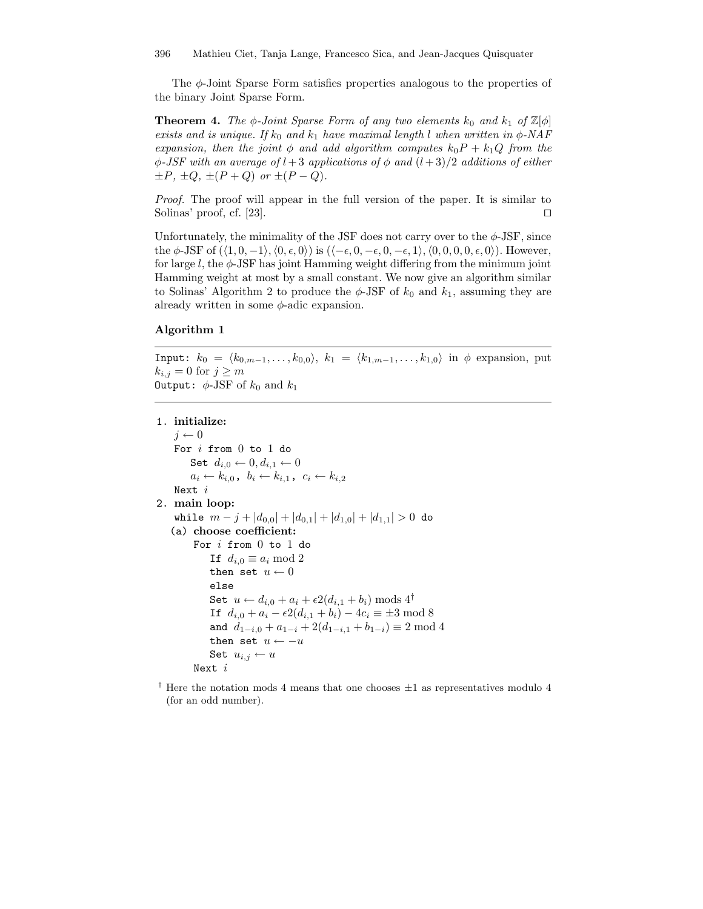The  $\phi$ -Joint Sparse Form satisfies properties analogous to the properties of the binary Joint Sparse Form.

**Theorem 4.** The  $\phi$ -Joint Sparse Form of any two elements  $k_0$  and  $k_1$  of  $\mathbb{Z}[\phi]$ exists and is unique. If  $k_0$  and  $k_1$  have maximal length l when written in  $\phi$ -NAF expansion, then the joint  $\phi$  and add algorithm computes  $k_0P + k_1Q$  from the  $\phi$ -JSF with an average of l + 3 applications of  $\phi$  and  $(l+3)/2$  additions of either  $\pm P$ ,  $\pm Q$ ,  $\pm (P+Q)$  or  $\pm (P-Q)$ .

Proof. The proof will appear in the full version of the paper. It is similar to Solinas' proof, cf. [23].  $\Box$ 

Unfortunately, the minimality of the JSF does not carry over to the  $\phi$ -JSF, since the  $\phi$ -JSF of  $(\langle 1, 0, -1 \rangle, \langle 0, \epsilon, 0 \rangle)$  is  $(\langle -\epsilon, 0, -\epsilon, 0, -\epsilon, 1 \rangle, \langle 0, 0, 0, 0, \epsilon, 0 \rangle)$ . However, for large  $l$ , the  $\phi$ -JSF has joint Hamming weight differing from the minimum joint Hamming weight at most by a small constant. We now give an algorithm similar to Solinas' Algorithm 2 to produce the  $\phi$ -JSF of  $k_0$  and  $k_1$ , assuming they are already written in some  $\phi$ -adic expansion.

#### Algorithm 1

Input:  $k_0 = \langle k_{0,m-1}, \ldots, k_{0,0} \rangle$ ,  $k_1 = \langle k_{1,m-1}, \ldots, k_{1,0} \rangle$  in  $\phi$  expansion, put  $k_{i,j} = 0$  for  $j \geq m$ **Output:**  $\phi$ -JSF of  $k_0$  and  $k_1$ 

# 1. initialize:

```
j \leftarrow 0For i from 0 to 1 do
         Set d_{i,0} \leftarrow 0, d_{i,1} \leftarrow 0a_i \leftarrow k_{i,0}, b_i \leftarrow k_{i,1}, c_i \leftarrow k_{i,2}Next i
2. main loop:
    while m - j + |d_{0,0}| + |d_{0,1}| + |d_{1,0}| + |d_{1,1}| > 0 do
    (a) choose coefficient:
          For i from 0 to 1 do
               If d_{i,0} \equiv a_i \mod 2then set u \leftarrow 0else
               Set u \leftarrow d_{i,0} + a_i + \epsilon 2(d_{i,1} + b_i) \text{ mod } 4^{\dagger}If d_{i,0} + a_i - \epsilon 2(d_{i,1} + b_i) - 4c_i \equiv \pm 3 \mod 8and d_{1-i,0} + a_{1-i} + 2(d_{1-i,1} + b_{1-i}) \equiv 2 \mod 4then set u \leftarrow -uSet u_{i,j} \leftarrow uNext i
```
<sup>†</sup> Here the notation mods 4 means that one chooses  $\pm 1$  as representatives modulo 4 (for an odd number).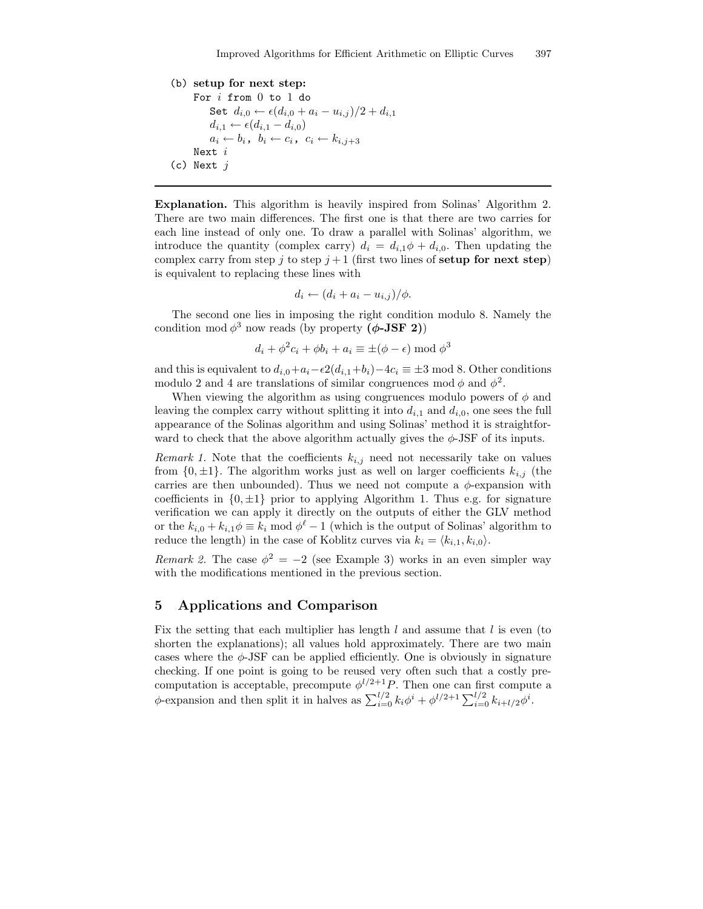```
(b) setup for next step:
      For i from 0 to 1 do
           Set d_{i,0} \leftarrow \epsilon (d_{i,0} + a_i - u_{i,j})/2 + d_{i,1}d_{i,1} \leftarrow \epsilon(d_{i,1} - d_{i,0})a_i \leftarrow b_i, b_i \leftarrow c_i, c_i \leftarrow k_{i,j+3}Next i
(c) Next j
```
Explanation. This algorithm is heavily inspired from Solinas' Algorithm 2. There are two main differences. The first one is that there are two carries for each line instead of only one. To draw a parallel with Solinas' algorithm, we introduce the quantity (complex carry)  $d_i = d_{i,1}\phi + d_{i,0}$ . Then updating the complex carry from step j to step  $j+1$  (first two lines of setup for next step) is equivalent to replacing these lines with

$$
d_i \leftarrow (d_i + a_i - u_{i,j})/\phi.
$$

The second one lies in imposing the right condition modulo 8. Namely the condition mod  $\phi^3$  now reads (by property ( $\phi$ -JSF 2))

$$
d_i + \phi^2 c_i + \phi b_i + a_i \equiv \pm (\phi - \epsilon) \bmod \phi^3
$$

and this is equivalent to  $d_{i,0}+a_i-\epsilon_2(d_{i,1}+b_i)-4c_i \equiv \pm 3 \mod 8$ . Other conditions modulo 2 and 4 are translations of similar congruences mod  $\phi$  and  $\phi^2$ .

When viewing the algorithm as using congruences modulo powers of  $\phi$  and leaving the complex carry without splitting it into  $d_{i,1}$  and  $d_{i,0}$ , one sees the full appearance of the Solinas algorithm and using Solinas' method it is straightforward to check that the above algorithm actually gives the  $\phi$ -JSF of its inputs.

Remark 1. Note that the coefficients  $k_{i,j}$  need not necessarily take on values from  $\{0, \pm 1\}$ . The algorithm works just as well on larger coefficients  $k_{i,j}$  (the carries are then unbounded). Thus we need not compute a  $\phi$ -expansion with coefficients in  $\{0, \pm 1\}$  prior to applying Algorithm 1. Thus e.g. for signature verification we can apply it directly on the outputs of either the GLV method or the  $k_{i,0} + k_{i,1}\phi \equiv k_i \mod \phi^{\ell} - 1$  (which is the output of Solinas' algorithm to reduce the length) in the case of Koblitz curves via  $k_i = \langle k_{i,1}, k_{i,0} \rangle$ .

Remark 2. The case  $\phi^2 = -2$  (see Example 3) works in an even simpler way with the modifications mentioned in the previous section.

## 5 Applications and Comparison

Fix the setting that each multiplier has length  $l$  and assume that  $l$  is even (to shorten the explanations); all values hold approximately. There are two main cases where the  $\phi$ -JSF can be applied efficiently. One is obviously in signature checking. If one point is going to be reused very often such that a costly precomputation is acceptable, precompute  $\phi^{l/2+1}P$ . Then one can first compute a  $\phi$ -expansion and then split it in halves as  $\sum_{i=0}^{l/2} k_i \phi^i + \phi^{l/2+1} \sum_{i=0}^{l/2} k_{i+l/2} \phi^i$ .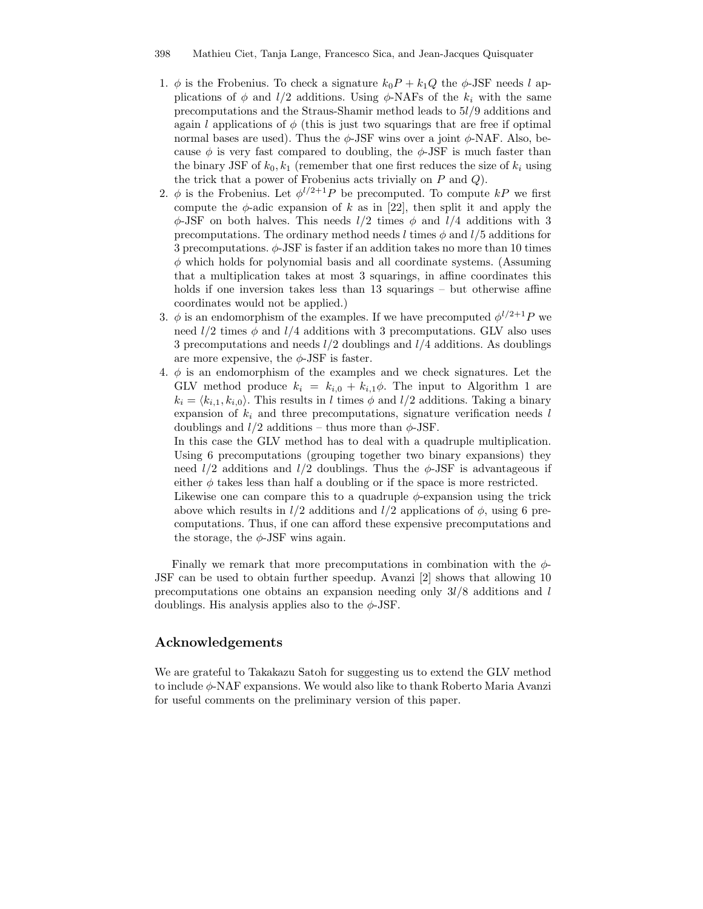- 1.  $\phi$  is the Frobenius. To check a signature  $k_0P + k_1Q$  the  $\phi$ -JSF needs l applications of  $\phi$  and  $l/2$  additions. Using  $\phi$ -NAFs of the  $k_i$  with the same precomputations and the Straus-Shamir method leads to 5l/9 additions and again l applications of  $\phi$  (this is just two squarings that are free if optimal normal bases are used). Thus the  $\phi$ -JSF wins over a joint  $\phi$ -NAF. Also, because  $\phi$  is very fast compared to doubling, the  $\phi$ -JSF is much faster than the binary JSF of  $k_0, k_1$  (remember that one first reduces the size of  $k_i$  using the trick that a power of Frobenius acts trivially on  $P$  and  $Q$ ).
- 2.  $\phi$  is the Frobenius. Let  $\phi^{l/2+1}P$  be precomputed. To compute kP we first compute the  $\phi$ -adic expansion of k as in [22], then split it and apply the  $\phi$ -JSF on both halves. This needs  $l/2$  times  $\phi$  and  $l/4$  additions with 3 precomputations. The ordinary method needs l times  $\phi$  and  $l/5$  additions for 3 precomputations.  $\phi$ -JSF is faster if an addition takes no more than 10 times  $\phi$  which holds for polynomial basis and all coordinate systems. (Assuming that a multiplication takes at most 3 squarings, in affine coordinates this holds if one inversion takes less than 13 squarings – but otherwise affine coordinates would not be applied.)
- 3.  $\phi$  is an endomorphism of the examples. If we have precomputed  $\phi^{l/2+1}P$  we need  $l/2$  times  $\phi$  and  $l/4$  additions with 3 precomputations. GLV also uses 3 precomputations and needs  $l/2$  doublings and  $l/4$  additions. As doublings are more expensive, the  $\phi$ -JSF is faster.
- 4.  $\phi$  is an endomorphism of the examples and we check signatures. Let the GLV method produce  $k_i = k_{i,0} + k_{i,1}\phi$ . The input to Algorithm 1 are  $k_i = \langle k_{i,1}, k_{i,0} \rangle$ . This results in l times  $\phi$  and  $l/2$  additions. Taking a binary expansion of  $k_i$  and three precomputations, signature verification needs l doublings and  $l/2$  additions – thus more than  $\phi$ -JSF.

In this case the GLV method has to deal with a quadruple multiplication. Using 6 precomputations (grouping together two binary expansions) they need  $l/2$  additions and  $l/2$  doublings. Thus the  $\phi$ -JSF is advantageous if either  $\phi$  takes less than half a doubling or if the space is more restricted.

Likewise one can compare this to a quadruple  $\phi$ -expansion using the trick above which results in  $l/2$  additions and  $l/2$  applications of  $\phi$ , using 6 precomputations. Thus, if one can afford these expensive precomputations and the storage, the  $\phi$ -JSF wins again.

Finally we remark that more precomputations in combination with the  $\phi$ -JSF can be used to obtain further speedup. Avanzi [2] shows that allowing 10 precomputations one obtains an expansion needing only  $3l/8$  additions and l doublings. His analysis applies also to the  $\phi$ -JSF.

# Acknowledgements

We are grateful to Takakazu Satoh for suggesting us to extend the GLV method to include  $\phi$ -NAF expansions. We would also like to thank Roberto Maria Avanzi for useful comments on the preliminary version of this paper.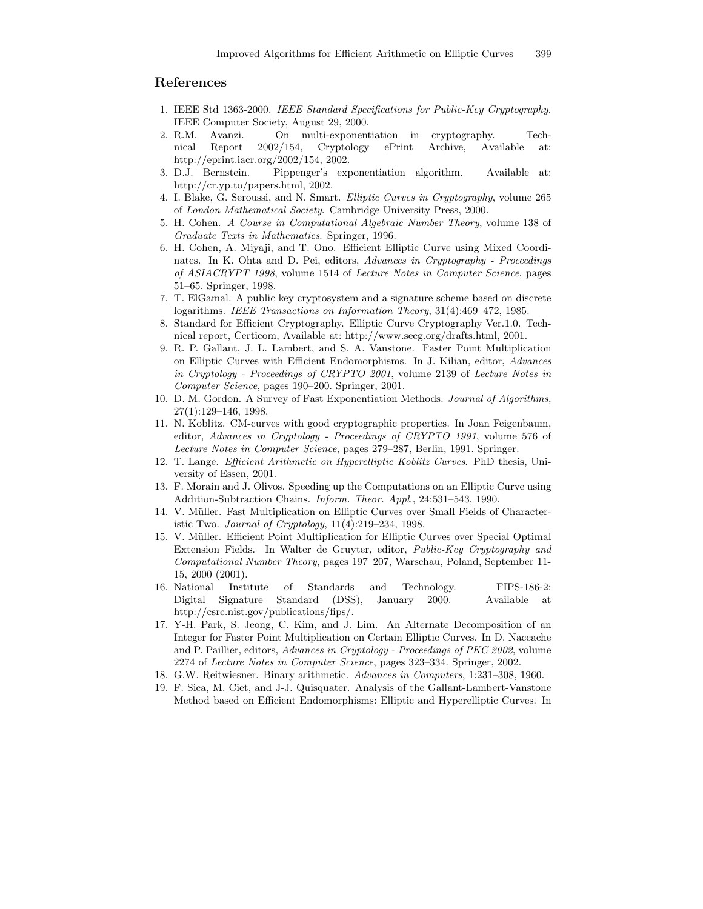# References

- 1. IEEE Std 1363-2000. IEEE Standard Specifications for Public-Key Cryptography. IEEE Computer Society, August 29, 2000.
- 2. R.M. Avanzi. On multi-exponentiation in cryptography. Technical Report 2002/154, Cryptology ePrint Archive, Available at: http://eprint.iacr.org/2002/154, 2002.
- 3. D.J. Bernstein. Pippenger's exponentiation algorithm. Available at: http://cr.yp.to/papers.html, 2002.
- 4. I. Blake, G. Seroussi, and N. Smart. Elliptic Curves in Cryptography, volume 265 of London Mathematical Society. Cambridge University Press, 2000.
- 5. H. Cohen. A Course in Computational Algebraic Number Theory, volume 138 of Graduate Texts in Mathematics. Springer, 1996.
- 6. H. Cohen, A. Miyaji, and T. Ono. Efficient Elliptic Curve using Mixed Coordinates. In K. Ohta and D. Pei, editors, Advances in Cryptography - Proceedings of ASIACRYPT 1998, volume 1514 of Lecture Notes in Computer Science, pages 51–65. Springer, 1998.
- 7. T. ElGamal. A public key cryptosystem and a signature scheme based on discrete logarithms. IEEE Transactions on Information Theory, 31(4):469–472, 1985.
- 8. Standard for Efficient Cryptography. Elliptic Curve Cryptography Ver.1.0. Technical report, Certicom, Available at: http://www.secg.org/drafts.html, 2001.
- 9. R. P. Gallant, J. L. Lambert, and S. A. Vanstone. Faster Point Multiplication on Elliptic Curves with Efficient Endomorphisms. In J. Kilian, editor, Advances in Cryptology - Proceedings of CRYPTO 2001, volume 2139 of Lecture Notes in Computer Science, pages 190–200. Springer, 2001.
- 10. D. M. Gordon. A Survey of Fast Exponentiation Methods. Journal of Algorithms, 27(1):129–146, 1998.
- 11. N. Koblitz. CM-curves with good cryptographic properties. In Joan Feigenbaum, editor, Advances in Cryptology - Proceedings of CRYPTO 1991, volume 576 of Lecture Notes in Computer Science, pages 279–287, Berlin, 1991. Springer.
- 12. T. Lange. Efficient Arithmetic on Hyperelliptic Koblitz Curves. PhD thesis, University of Essen, 2001.
- 13. F. Morain and J. Olivos. Speeding up the Computations on an Elliptic Curve using Addition-Subtraction Chains. Inform. Theor. Appl., 24:531–543, 1990.
- 14. V. Müller. Fast Multiplication on Elliptic Curves over Small Fields of Characteristic Two. Journal of Cryptology, 11(4):219–234, 1998.
- 15. V. Müller. Efficient Point Multiplication for Elliptic Curves over Special Optimal Extension Fields. In Walter de Gruyter, editor, Public-Key Cryptography and Computational Number Theory, pages 197–207, Warschau, Poland, September 11- 15, 2000 (2001).
- 16. National Institute of Standards and Technology. FIPS-186-2: Digital Signature Standard (DSS), January 2000. Available at http://csrc.nist.gov/publications/fips/.
- 17. Y-H. Park, S. Jeong, C. Kim, and J. Lim. An Alternate Decomposition of an Integer for Faster Point Multiplication on Certain Elliptic Curves. In D. Naccache and P. Paillier, editors, Advances in Cryptology - Proceedings of PKC 2002, volume 2274 of Lecture Notes in Computer Science, pages 323–334. Springer, 2002.
- 18. G.W. Reitwiesner. Binary arithmetic. Advances in Computers, 1:231–308, 1960.
- 19. F. Sica, M. Ciet, and J-J. Quisquater. Analysis of the Gallant-Lambert-Vanstone Method based on Efficient Endomorphisms: Elliptic and Hyperelliptic Curves. In